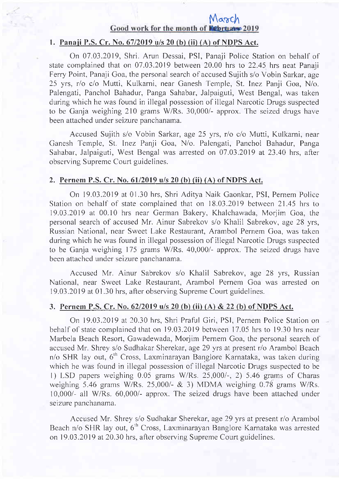# $\frac{M\alpha\gamma C}{1}$ <br>Good work for the month of **Kebruano** 2019

## 1. Panaji P.S. Cr. No. 67/2019 u/s 20 (b) (ii) (A) of NDPS Act.

On 07.03.2019, Shri. Arun Dessai, PSI, Panaji Police Station on behalf of state complained that on 07.03.2019 between 20.00 hrs to 22.45 hrs neat Panaji Ferry Point, Panaji Goa, the personal search of accused Sujith s/o Vobin Sarkar, age 25 yrs, r/o c/o Mutti, Kulkarni, near Ganesh Temple, St. Inez Panji Goa, N/o. Palengati, Panchol Bahadur, Panga Sahabar, Jalpaiguti, West Bengal, was taken during which he was found in illegal possession of illegal Narcotic Drugs suspected to be Ganja weighing 210 grams W/Rs.30,000/- approx. The seized drugs have been attached under seizure panchanama.

Accused Sujith s/o Vobin Sarkar, age 25 yrs, r/o c/o Mutti, Kulkami, near Ganesh Temple, St. Inez Panji Goa, N/o. Palengati, Panchol Bahadur, Panga Sahabar, Jalpaiguti, West Bengal was arrested on 07.03.2019 at 23.40 hrs, after observing Supreme Court guidelines.

### 2. Pernem P.S. Cr. No. 61/2019 u/s 20 (b) (ii) (A) of NDPS Act.

On 19.03.2019 at 01.30 hrs, Shri Aditya Naik Gaonkar, PSI, Pernem Police Station on behalf of state cornplained that on 18.03.2019 between 21.45 hrs 1o 19.03.20 l9 at 00.10 hrs near German Bakery, Khalchawada, Morjim Goa, the personal search of accused Mr. Ainur Sabrekov s/o Khalil Sabrekov, age 28 yrs, Russian National, near Sweet Lake Restaurant, Arambol Pernem Goa, was taken during which he was found in illegal possession of illegal Narcotic Drugs suspected to be Ganja weighing 175 grams W/Rs. 40,000/- approx. The seized drugs have been attached under seizure panchanama.

Accused Mr. Ainur Sabrekov s/o Khalil Sabrekov, age 28 yrs, Russian National, near Sweel Lake Restaurant, Arambol Pernem Goa was arrested on 19.03.2019 at 01.30 hrs, after observing Supreme Court guidelines.

#### 3. Pernem P.S. Cr. No. 62/2019 u/s 20 (b) (ii) (A) & 22 (b) of NDPS Act.

On 19.03.2019 at 20.30 hrs, Shri Praful Giri, PSI, Pernem Police Station on behalf of state complained that on 19.03.2019 between 17.05 hrs to 19.30 hrs near Marbela Beach Resort, Gawadewada, Morjim Pernem Goa, the personal search of accused Mr. Shrey s/o Sudhakar Sherekar, age 29 yrs at present r/o Arambol Beach n/o SHR lay out, 6'n Cross, Laxminarayan Banglore Karnataka, was taken during which he was found in illegal possession of illegal Narcotic Drugs suspected to be 1) LSD papers weighing  $0.05$  grams W/Rs. 25,000/-, 2) 5.46 grams of Charas weighing 5.46 grams W/Rs. 25,000/-  $&$  3) MDMA weighing 0.78 grams W/Rs. 10,000/- all W/Rs.60,000/- approx. The seized drugs have been attached under seizure panchanama.

Accused Mr. Shrey s/o Sudhakar Sherekar, age 29 yrs at present r/o Arambol Beach n/o SHR lay out, 6<sup>th</sup> Cross, Laxminarayan Banglore Karnataka was arrested on 19.03.2019 at 20.30 hrs, after observing Supreme Court guidelines.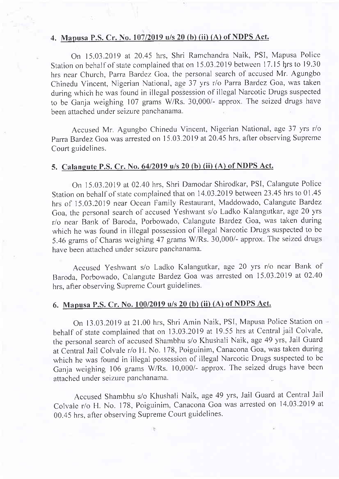## 4. Mapusa P.S. Cr. No. 107/2019 u/s 20 (b) (ii) (A) of NDPS Act.

On 15.03.20 l9 at 20.45 hrs, Shri Ramchandra Naik, PSI, Mapusa Police Station on behalf of state complained that on 15.03.2019 between 17.15 hrs to 19.30 hrs near Church, Parra Bardez Goa, the personal search of accused Mr. Agungbo Chinedu Vincent, Nigerian National, age 37 yrs r/o Parra Bardez Goa, was taken during which he was found in illegal possession of illegal Narcotic Drugs suspected to be Ganja weighing 107 grams W/Rs.30,000/- approx. The seized drugs have been attached under seizure panchanama.

Accused Mr. Agungbo Chinedu Vincent, Nigerian National, age 37 yrs r/o Parra Bardez Goa was arrested on 15.03.2019 at 20.45 hrs, after observing Supreme Court guidelines.

## 5. Calaneute P.S. Cr. No. 6412019 u/s 20 (b) (ii) (A) of NDPS Act.

On 15.03.2019 at 02.40 hrs, Shri Damodar Shirodkar, PSI, Calangute Police Station on behalf of state complained that on 14.03.2019 between 23.45 hrs to 01.45 hrs of 15.03.2019 near Ocean Family Restaurant, Maddowado, Calangute Bardez Goa, the personal search of accused Yeshwant s/o Ladko Kalangutkar, age 20 yrs r/o near Bank of Baroda, Porbowado, Calangute Bardez Goa, was taken during which he was found in illegal possession of illegal Narcotic Drugs suspected to be 5.46 grams of charas weighing 47 grams w/Rs. 30,000/- approx. The seized dnrgs have been attached under seizure panchanama.

Accused Yeshwant s/o Ladko Kalangutkar, age 20 yrs r/o near Bank of Baroda, Porbowado, Calangute Bardez Goa was arrested on 15.03.2019 at 02.40 hrs, after observing Supreme Court guidelines.

## 6. Mapusa P.S. Cr. No. 100/2019 u/s 20 (b) (ii) (A) of NDPS Act.

On 13.03.2019 at 21.00 hrs, Shri Amin Naik, PSI, Mapusa Police Station on behalf of state complained that on 13.03.2019 at 19.55 hrs at Central jail colvale, the personal search of accused Shambhu s/o Khushali Naik, age 49 yrs, Jail Guard at Central Jail Colvale r/o H. No. 178, Poiguinim, Canacona Goa, was taken during which he was found in illegal possession of illegal Narcotic Drugs suspected to be Willem ite was found in megal possession of megal function along the process of the Ganja weighing 106 grams W/Rs. 10,000/- approx. The seized drugs have been attached under seizure panchanama.

Accused Shambhu s/o Khushali Naik, age 49 yrs, Jail Guard at Central Jail Colvale r/o H. No. 178, Poiguinim, Canacona Goa was anested on 14.03.2019 at 00.45 hrs, after observing Supreme Court guidelines.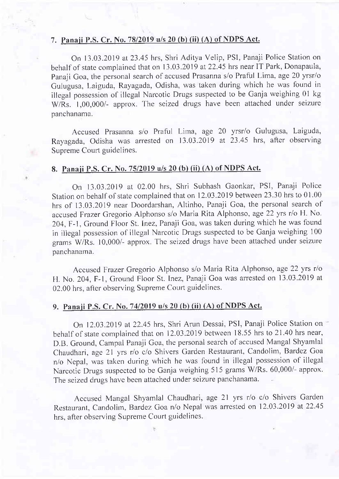#### 7. Panaii P.S. Cr. No. 78/2019 u/s 20 (b) (ii) (A) of NDPS Act.

On 13.03.2019 at 23.45 hrs, Shri Aditya Velip, PSI, Panaji Police Station on behalf of state complained that on 13.03.2019 at 22.45 hrs near IT Park, Donapaula, Panaji Goa, the personal search of accused Prasanna s/o Praful Lima, age 20 yrsr/o Gulugusa, Laiguda, Rayagada, Odisha, was taken during which he was found in illegal possession of illegal Narcotic Drugs suspected to be Ganja weighing 01 kg W/Rs. 1,00,000/- approx. The seized drugs have been attached under seizure panchanama.

Accused Prasanna s/o Praful Lima, age 20 yrsr/o Gulugusa, Laiguda, Rayagada, Odisha was arrested on 13.03.2019 at 2345 hrs, after observing Supreme Court guidelines.

## 8. Panaji P.S. Cr. No. 75/2019 u/s 20 (b) (ii) (A) of NDPS Act.

On 13.03.2019 at 02.00 hrs, Shri Subhash Gaonkar, PSI, Panaji Police Station on behalf of state complained that on 12.03.2019 between 23.30 hrs to 01.00 hrs of 13.03.2019 near Doordarshan, Altinho, Panaji Goa, the personal search of accused Frazer Gregorio Alphonso s/o Maria Rita Alphonso, age 22 yrs r/o H. No. 204,F-1, Ground Floor St. Inez, Panaji Goa, was taken during which he was found in illegal possession of illegal Narcotic Drugs suspected to be Ganja weighing <sup>100</sup> grams W/Rs. 10,000/- approx. The seized drugs have been attached under seizure panchanama.

Accused Frazer Gregorio Alphonso s/o Maria Rita Alphonso, age 22 yrs r/o H. No.204, F-1, Ground Floor St. Inez, Panaji Goa was anested on 13.03.2019 at 02.00 hrs, after observing Supreme Court guidelines.

## 9. Panaii P.S. Cr. No. 7412019 u/s 20 (b) (ii) (A) of NDPS Act.

On 12.03.2019 at 22.45 hrs, Shri Arun Dessai, PSI, Panaji Police Station on behalf of state complained that on 12.03.2019 between 18.55 hrs to 21.40 hrs near, D.B. Ground, Campal Panaji Goa, the personal search of accused Mangal Shyamlal Chaudhari, age 2l yrs r/o c/o Shivers Garden Restaurant, Candolim, Bardez Goa n/o Nepal, was taken during which he was found in illegal possession of illegal Narcotic Drugs suspected to be Ganja weighing 515 grams W/Rs. 60,000/- approx. The seized drugs have been attached under seizure panchanama.

Accused Mangal Shyamlal Chaudhari, age 2l yrs r/o c/o Shivers Garden Restaurant, Candolim, Bardez Goa n/o Nepal was arrested on 12.03.2019 at 22.45 hrs, after observing Supreme Court guidelines.